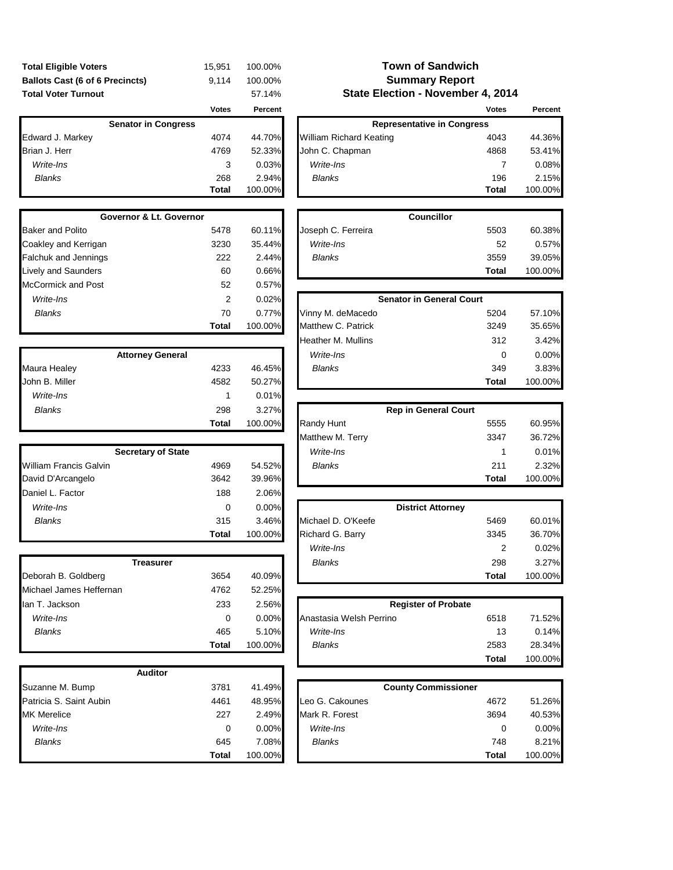| <b>Total Eligible Voters</b>           | 15.951 | 100.00% |
|----------------------------------------|--------|---------|
| <b>Ballots Cast (6 of 6 Precincts)</b> | 9.114  | 100.00% |
| <b>Total Voter Turnout</b>             |        | 57.14%  |

| <b>Senator in Congress</b> |       |         |
|----------------------------|-------|---------|
| Edward J. Markey           | 4074  | 44.70%  |
| Brian J. Herr              | 4769  | 52.33%  |
| Write-Ins                  | 3     | 0.03%   |
| <b>Blanks</b>              | 268   | 2.94%   |
|                            | Total | 100.00% |

| <b>Governor &amp; Lt. Governor</b> |       |         |  |  |  |  |
|------------------------------------|-------|---------|--|--|--|--|
| <b>Baker and Polito</b>            | 5478  | 60.11%  |  |  |  |  |
| Coakley and Kerrigan               | 3230  | 35.44%  |  |  |  |  |
| <b>Falchuk and Jennings</b>        | 222   | 2.44%   |  |  |  |  |
| <b>Lively and Saunders</b>         | 60    | 0.66%   |  |  |  |  |
| <b>McCormick and Post</b>          | 52    | 0.57%   |  |  |  |  |
| Write-Ins                          | 2     | 0.02%   |  |  |  |  |
| Blanks                             | 70    | 0.77%   |  |  |  |  |
|                                    | Total | 100.00% |  |  |  |  |

|                | <b>Attorney General</b> |         |
|----------------|-------------------------|---------|
| Maura Healey   | 4233                    | 46.45%  |
| John B. Miller | 4582                    | 50.27%  |
| Write-Ins      |                         | 0.01%   |
| <b>Blanks</b>  | 298                     | 3.27%   |
|                | Total                   | 100.00% |

| <b>Secretary of State</b>     |       |         |
|-------------------------------|-------|---------|
| <b>William Francis Galvin</b> | 4969  | 54.52%  |
| David D'Arcangelo             | 3642  | 39.96%  |
| Daniel L. Factor              | 188   | 2.06%   |
| Write-Ins                     | 0     | 0.00%   |
| <b>Blanks</b>                 | 315   | 3.46%   |
|                               | Total | 100.00% |

| Treasurer               |       |          | <b>Blanks</b>              | 298          | 3.27%   |
|-------------------------|-------|----------|----------------------------|--------------|---------|
| Deborah B. Goldberg     | 3654  | 40.09%   |                            | <b>Total</b> | 100.00% |
| Michael James Heffernan | 4762  | 52.25%   |                            |              |         |
| lan T. Jackson          | 233   | 2.56%    | <b>Register of Probate</b> |              |         |
| Write-Ins               | 0     | $0.00\%$ | Anastasia Welsh Perrino    | 6518         | 71.52%  |
| <b>Blanks</b>           | 465   | 5.10%    | Write-Ins                  | 13           | 0.14%   |
|                         | Total | 100.00%  | <b>Blanks</b>              | 2583         | 28.34%  |

| <b>Auditor</b>          |              |         |
|-------------------------|--------------|---------|
| Suzanne M. Bump         | 3781         | 41.49%  |
| Patricia S. Saint Aubin | 4461         | 48.95%  |
| <b>MK</b> Merelice      | 227          | 2.49%   |
| Write-Ins               | O            | 0.00%   |
| <b>Blanks</b>           | 645          | 7.08%   |
|                         | <b>Total</b> | 100.00% |

## **Summary Report State Election - November 4, 2014 Town of Sandwich**

|                            | <b>Votes</b> | Percent  |                                   | <b>Votes</b> | Percent |
|----------------------------|--------------|----------|-----------------------------------|--------------|---------|
| <b>Senator in Congress</b> |              |          | <b>Representative in Congress</b> |              |         |
| Edward J. Markey           | 4074         | 44.70%   | <b>William Richard Keating</b>    | 4043         | 44.36%  |
| Brian J. Herr              | 4769         | 52.33%   | John C. Chapman                   | 4868         | 53.41%  |
| Write-Ins                  | 3            | $0.03\%$ | Write-Ins                         |              | 0.08%   |
| <b>Blanks</b>              | 268          | 2.94%    | <b>Blanks</b>                     | 196          | 2.15%   |
|                            | <b>Total</b> | 100.00%  |                                   | Total        | 100.00% |
|                            |              |          |                                   |              |         |

| Governor & Lt. Governor |      |        |                    | <b>Councillor</b> |              |         |
|-------------------------|------|--------|--------------------|-------------------|--------------|---------|
| Baker and Polito        | 5478 | 60.11% | Joseph C. Ferreira |                   | 5503         | 60.38%  |
| Coakley and Kerrigan    | 3230 | 35.44% | Write-Ins          |                   | 52           | 0.57%   |
| Falchuk and Jennings    | 222  | 2.44%  | <b>Blanks</b>      |                   | 3559         | 39.05%  |
| Lively and Saunders     | 60   | 0.66%  |                    |                   | <b>Total</b> | 100.00% |
| McCormick and Post      | 52   | 0.57%  |                    |                   |              |         |

| Write-Ins      | 2                       | 0.02%   | <b>Senator in General Court</b> |       |         |
|----------------|-------------------------|---------|---------------------------------|-------|---------|
| <b>Blanks</b>  | 70                      | 0.77%   | Vinny M. deMacedo               | 5204  | 57.10%  |
|                | Total                   | 100.00% | Matthew C. Patrick              | 3249  | 35.65%  |
|                |                         |         | <b>Heather M. Mullins</b>       | 312   | 3.42%   |
|                | <b>Attorney General</b> |         | Write-Ins                       | 0     | 0.00%   |
| Maura Healey   | 4233                    | 46.45%  | <b>Blanks</b>                   | 349   | 3.83%   |
| John B. Miller | 4582                    | 50.27%  |                                 | Total | 100.00% |
|                |                         |         |                                 |       |         |

| <b>Blanks</b>             | 298          | $3.27\%$ |                         | <b>Rep in General Court</b> |       |         |
|---------------------------|--------------|----------|-------------------------|-----------------------------|-------|---------|
|                           | <b>Total</b> | 100.00%  | Randy Hunt              |                             | 5555  | 60.95%  |
|                           |              |          | <b>Matthew M. Terry</b> |                             | 3347  | 36.72%  |
| <b>Secretary of State</b> |              |          | Write-Ins               |                             |       | 0.01%   |
| William Francis Galvin    | 4969         | 54.52%   | Blanks                  |                             | 211   | 2.32%   |
| David D'Arcangelo         | 3642         | 39.96%   |                         |                             | Total | 100.00% |

| Write-Ins           | 0            | $0.00\%$ | <b>District Attorney</b> |        |         |
|---------------------|--------------|----------|--------------------------|--------|---------|
| <b>Blanks</b>       | 315          | 3.46%    | Michael D. O'Keefe       | 5469   | 60.01%  |
|                     | <b>Total</b> | 100.00%  | Richard G. Barry         | 3345   | 36.70%  |
|                     |              |          | Write-Ins                | っ<br>∠ | 0.02%   |
| Treasurer           |              |          | <b>Blanks</b>            | 298    | 3.27%   |
| Deborah B. Goldberg | 3654         | 40.09%   |                          | Total  | 100.00% |

| 233          | 2.56%   |                         | <b>Register of Probate</b> |         |  |
|--------------|---------|-------------------------|----------------------------|---------|--|
| 0            | 0.00%   | Anastasia Welsh Perrino | 6518                       | 71.52%  |  |
| 465          | 5.10%   | Write-Ins               | 13                         | 0.14%   |  |
| <b>Total</b> | 100.00% | <b>Blanks</b>           | 2583                       | 28.34%  |  |
|              |         |                         | Total                      | 100.00% |  |

| Suzanne M. Bump         | 3781         | 41.49%   |                 | <b>County Commissioner</b> |         |
|-------------------------|--------------|----------|-----------------|----------------------------|---------|
| Patricia S. Saint Aubin | 4461         | 48.95%   | Leo G. Cakounes | 4672                       | 51.26%  |
| MK Merelice             | 227          | $2.49\%$ | Mark R. Forest  | 3694                       | 40.53%  |
| Write-Ins               | 0            | $0.00\%$ | Write-Ins       |                            | 0.00%   |
| <b>Blanks</b>           | 645          | $7.08\%$ | Blanks          | 748                        | 8.21%   |
|                         | <b>Total</b> | 100.00%  |                 | Total                      | 100.00% |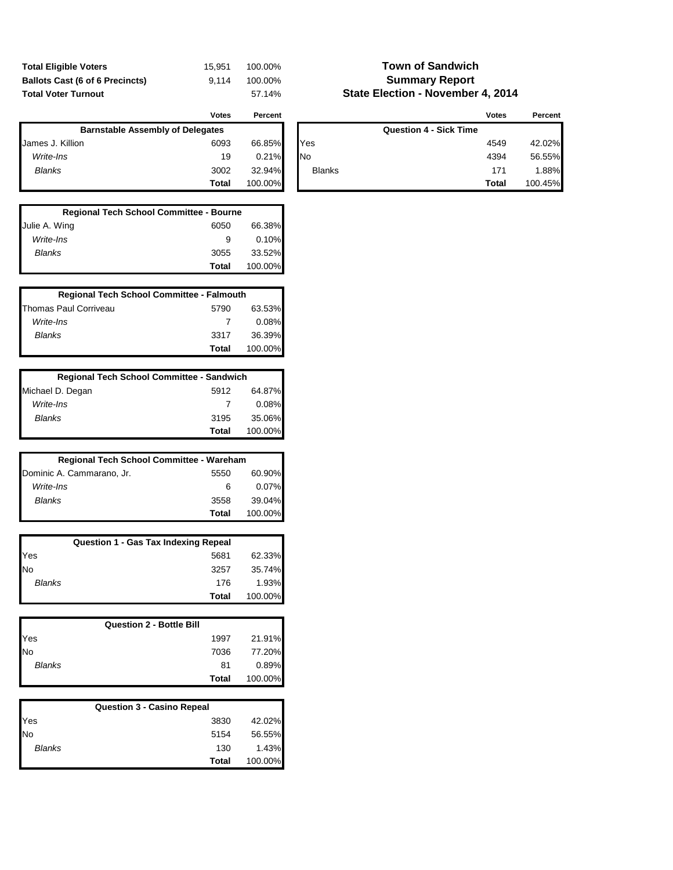| <b>Total Eligible Voters</b>           | 15.951 | 100.00% |
|----------------------------------------|--------|---------|
| <b>Ballots Cast (6 of 6 Precincts)</b> | 9.114  | 100.00% |
| <b>Total Voter Turnout</b>             |        | 57.14%  |

## **Town of Sandwich Summary Report State Election - November 4, 2014**

|                  | Votes                                   | Percent |               | <b>Votes</b>                  | Percen  |
|------------------|-----------------------------------------|---------|---------------|-------------------------------|---------|
|                  | <b>Barnstable Assembly of Delegates</b> |         |               | <b>Question 4 - Sick Time</b> |         |
| James J. Killion | 6093                                    | 66.85%  | Yes           | 4549                          | 42.02%  |
| Write-Ins        | 19                                      | 0.21%   | <b>No</b>     | 4394                          | 56.55%  |
| <b>Blanks</b>    | 3002                                    | 32.94%  | <b>Blanks</b> | 171                           | .88%    |
|                  | <b>Total</b>                            | 100.00% |               | Total                         | 100.45% |

| <b>Regional Tech School Committee - Bourne</b> |       |         |  |  |
|------------------------------------------------|-------|---------|--|--|
| Julie A. Wing                                  | 6050  | 66.38%  |  |  |
| Write-Ins                                      | 9     | 0.10%   |  |  |
| Blanks                                         | 3055  | 33.52%  |  |  |
|                                                | Total | 100.00% |  |  |

| <b>Regional Tech School Committee - Falmouth</b> |       |         |  |  |
|--------------------------------------------------|-------|---------|--|--|
| Thomas Paul Corriveau                            | 5790  | 63.53%  |  |  |
| Write-Ins                                        |       | 0.08%   |  |  |
| Blanks                                           | 3317  | 36.39%  |  |  |
|                                                  | Total | 100.00% |  |  |

| <b>Regional Tech School Committee - Sandwich</b> |       |         |  |  |
|--------------------------------------------------|-------|---------|--|--|
| Michael D. Degan                                 | 5912  | 64.87%  |  |  |
| Write-Ins                                        | 7     | 0.08%   |  |  |
| Blanks                                           | 3195  | 35.06%  |  |  |
|                                                  | Total | 100.00% |  |  |

| Regional Tech School Committee - Wareham |       |         |  |  |
|------------------------------------------|-------|---------|--|--|
| Dominic A. Cammarano, Jr.                | 5550  | 60.90%  |  |  |
| Write-Ins                                | 6     | 0.07%   |  |  |
| Blanks                                   | 3558  | 39.04%  |  |  |
|                                          | Total | 100.00% |  |  |

| <b>Question 1 - Gas Tax Indexing Repeal</b> |       |         |  |  |
|---------------------------------------------|-------|---------|--|--|
| Yes<br>No                                   | 5681  | 62.33%  |  |  |
|                                             | 3257  | 35.74%  |  |  |
| <b>Blanks</b>                               | 176   | 1.93%   |  |  |
|                                             | Total | 100.00% |  |  |

|               | <b>Question 2 - Bottle Bill</b> |       |         |
|---------------|---------------------------------|-------|---------|
| Yes<br>No     |                                 | 1997  | 21.91%  |
|               |                                 | 7036  | 77.20%  |
| <b>Blanks</b> |                                 | 81    | 0.89%   |
|               |                                 | Total | 100.00% |

| <b>Question 3 - Casino Repeal</b> |       |         |  |  |
|-----------------------------------|-------|---------|--|--|
| Yes<br>No                         | 3830  | 42.02%  |  |  |
|                                   | 5154  | 56.55%  |  |  |
| <b>Blanks</b>                     | 130   | 1.43%   |  |  |
|                                   | Total | 100.00% |  |  |

| <b>Votes</b> | Percent |               |                               | <b>Votes</b> | Percent |
|--------------|---------|---------------|-------------------------------|--------------|---------|
| ıtes         |         |               | <b>Question 4 - Sick Time</b> |              |         |
| 6093         | 66.85%  | Yes           |                               | 4549         | 42.02%  |
| 19           | 0.21%   | No            |                               | 4394         | 56.55%  |
| 3002         | 32.94%  | <b>Blanks</b> |                               | 171          | 1.88%   |
| Total        | 100.00% |               |                               | Total        | 100.45% |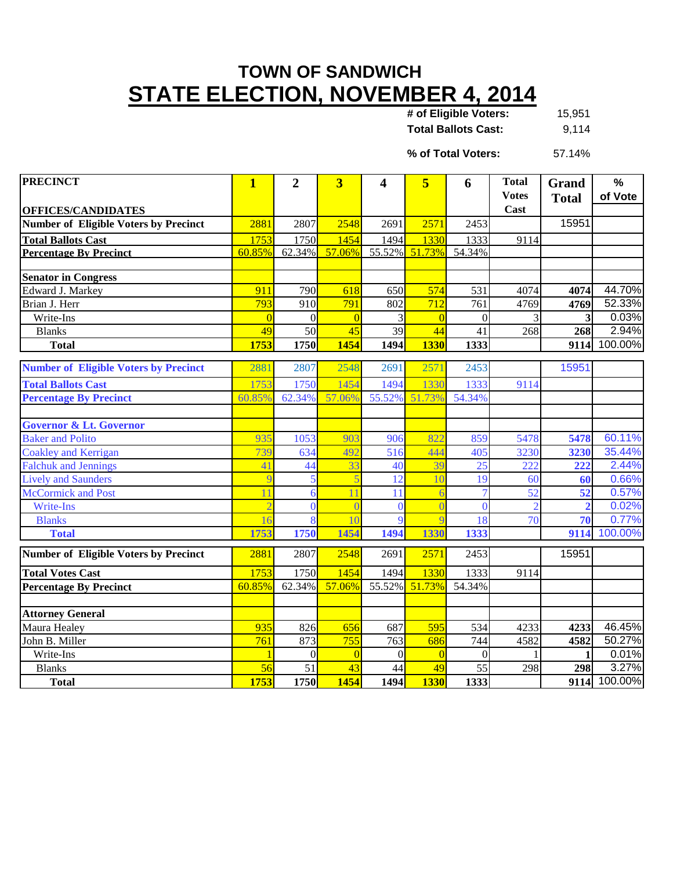## **TOWN OF SANDWICH STATE ELECTION, NOVEMBER 4, 2014**

15,951 **Total Ballots Cast:** 9,114 **# of Eligible Voters:**

57.14% **% of Total Voters:**

| <b>PRECINCT</b>                                                           | $\overline{\mathbf{1}}$ | $\overline{2}$ | $\overline{\mathbf{3}}$ | 4               | 5                     | 6              | <b>Total</b>         | Grand                   | $\frac{9}{6}$ |
|---------------------------------------------------------------------------|-------------------------|----------------|-------------------------|-----------------|-----------------------|----------------|----------------------|-------------------------|---------------|
|                                                                           |                         |                |                         |                 |                       |                | <b>Votes</b><br>Cast | <b>Total</b>            | of Vote       |
| <b>OFFICES/CANDIDATES</b><br><b>Number of Eligible Voters by Precinct</b> | 2881                    | 2807           | 2548                    | 2691            | 2571                  | 2453           |                      | 15951                   |               |
|                                                                           |                         |                |                         |                 |                       |                |                      |                         |               |
| <b>Total Ballots Cast</b>                                                 | 1753<br>60.85%          | 1750           | 1454<br>57.06%          | 1494            | 1330<br>55.52% 51.73% | 1333<br>54.34% | 9114                 |                         |               |
| <b>Percentage By Precinct</b>                                             |                         | 62.34%         |                         |                 |                       |                |                      |                         |               |
| <b>Senator in Congress</b>                                                |                         |                |                         |                 |                       |                |                      |                         |               |
| Edward J. Markey                                                          | 911                     | 790            | 618                     | 650             | 574                   | 531            | 4074                 | 4074                    | 44.70%        |
| Brian J. Herr                                                             | 793                     | 910            | 791                     | 802             | $\overline{712}$      | 761            | 4769                 | 4769                    | 52.33%        |
| Write-Ins                                                                 | $\Omega$                | $\overline{0}$ | $\overline{0}$          | 3               | $\overline{0}$        | $\mathbf{0}$   |                      | $\overline{\mathbf{3}}$ | 0.03%         |
| <b>Blanks</b>                                                             | 49                      | 50             | 45                      | $\overline{39}$ | $\overline{44}$       | 41             | 268                  | 268                     | 2.94%         |
| <b>Total</b>                                                              | 1753                    | 1750           | 1454                    | 1494            | <b>1330</b>           | 1333           |                      | 9114                    | 100.00%       |
| <b>Number of Eligible Voters by Precinct</b>                              | 2881                    | 2807           | 2548                    | 2691            | 2571                  | 2453           |                      | 15951                   |               |
|                                                                           |                         |                | 1454                    |                 |                       |                |                      |                         |               |
| <b>Total Ballots Cast</b>                                                 | 1753                    | 1750           |                         | 1494            | 1330                  | 1333           | 9114                 |                         |               |
| <b>Percentage By Precinct</b>                                             | 60.85%                  | 62.34%         | 57.06%                  | 55.52%          | 51.73%                | 54.34%         |                      |                         |               |
| <b>Governor &amp; Lt. Governor</b>                                        |                         |                |                         |                 |                       |                |                      |                         |               |
| <b>Baker and Polito</b>                                                   | 935                     | 1053           | 903                     | 906             | 822                   | 859            | 5478                 | 5478                    | 60.11%        |
| <b>Coakley and Kerrigan</b>                                               | 739                     | 634            | 492                     | 516             | 444                   | 405            | 3230                 | 3230                    | 35.44%        |
| <b>Falchuk and Jennings</b>                                               | 41                      | 44             | 33                      | 40              | 39                    | 25             | 222                  | 222                     | 2.44%         |
| <b>Lively and Saunders</b>                                                | q                       | 5              | 5                       | 12              | 10                    | 19             | 60                   | 60                      | 0.66%         |
| McCormick and Post                                                        | 11                      | 6              | 11                      | 11              | 6                     |                | 52                   | $\overline{52}$         | 0.57%         |
| Write-Ins                                                                 | $\overline{2}$          | $\Omega$       |                         | $\Omega$        | $\overline{0}$        | $\Omega$       |                      | $\overline{2}$          | 0.02%         |
| <b>Blanks</b>                                                             | 16                      | 8              | 10                      | $\overline{Q}$  | $\overline{Q}$        | 18             | 70                   | 70                      | 0.77%         |
| <b>Total</b>                                                              | 1753                    | 1750           | 1454                    | 1494            | 1330                  | 1333           |                      | 9114                    | 100.00%       |
| <b>Number of Eligible Voters by Precinct</b>                              | 2881                    | 2807           | 2548                    | 2691            | 2571                  | 2453           |                      | 15951                   |               |
| <b>Total Votes Cast</b>                                                   | 1753                    | 1750           | 1454                    | 1494            | 1330                  | 1333           | 9114                 |                         |               |
| <b>Percentage By Precinct</b>                                             | 60.85%                  | 62.34%         | 57.06%                  |                 | 55.52% 51.73%         | 54.34%         |                      |                         |               |
|                                                                           |                         |                |                         |                 |                       |                |                      |                         |               |
| <b>Attorney General</b>                                                   |                         |                |                         |                 |                       |                |                      |                         |               |
| Maura Healey                                                              | 935                     | 826            | 656                     | 687             | 595                   | 534            | 4233                 | 4233                    | 46.45%        |
| John B. Miller                                                            | 761                     | 873            | 755                     | 763             | 686                   | 744            | 4582                 | 4582                    | 50.27%        |
| Write-Ins                                                                 |                         | $\theta$       | $\overline{0}$          | $\theta$        | $\overline{0}$        | $\Omega$       |                      | 1                       | 0.01%         |
| <b>Blanks</b>                                                             | 56                      | 51             | 43                      | 44              | 49                    | 55             | 298                  | 298                     | 3.27%         |
| <b>Total</b>                                                              | 1753                    | 1750           | 1454                    | 1494            | <b>1330</b>           | 1333           |                      | 9114                    | 100.00%       |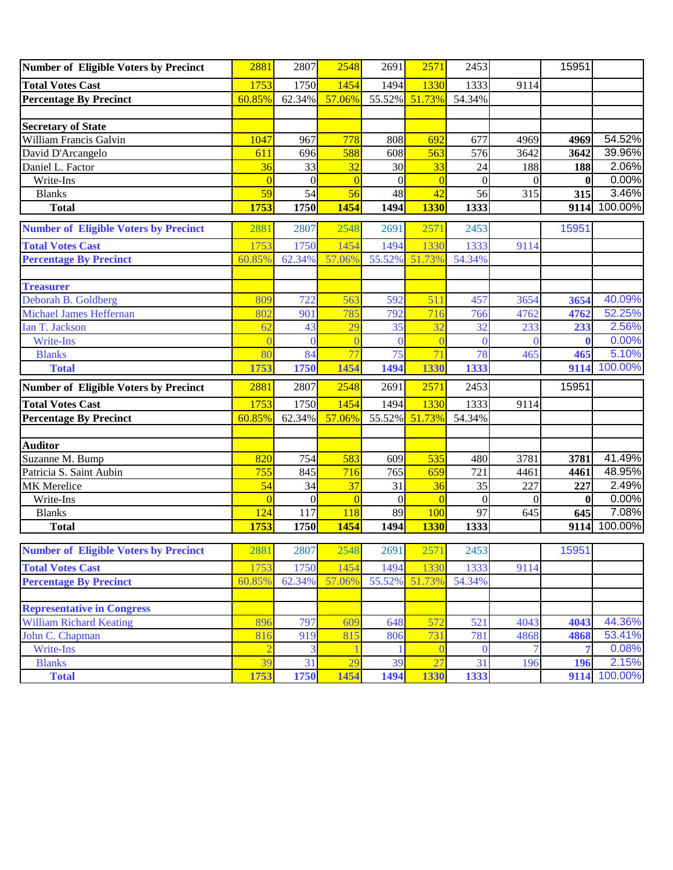| <b>Number of Eligible Voters by Precinct</b> | 2881           | 2807           | 2548           | 2691     | 2571           | 2453             |          | 15951        |         |
|----------------------------------------------|----------------|----------------|----------------|----------|----------------|------------------|----------|--------------|---------|
| <b>Total Votes Cast</b>                      | 1753           | 1750           | 1454           | 1494     | 1330           | 1333             | 9114     |              |         |
| <b>Percentage By Precinct</b>                | 60.85%         | 62.34%         | 57.06%         | 55.52%   | 51.73%         | 54.34%           |          |              |         |
|                                              |                |                |                |          |                |                  |          |              |         |
| <b>Secretary of State</b>                    |                |                |                |          |                |                  |          |              |         |
| <b>William Francis Galvin</b>                | 1047           | 967            | 778            | 808      | 692            | 677              | 4969     | 4969         | 54.52%  |
| David D'Arcangelo                            | 611            | 696            | 588            | 608      | 563            | 576              | 3642     | 3642         | 39.96%  |
| Daniel L. Factor                             | 36             | 33             | 32             | 30       | 33             | 24               | 188      | 188          | 2.06%   |
| Write-Ins                                    | $\overline{0}$ | $\overline{0}$ | $\Omega$       | $\Omega$ | $\overline{0}$ | $\theta$         | $\Omega$ | $\mathbf{0}$ | 0.00%   |
| <b>Blanks</b>                                | 59             | 54             | 56             | 48       | 42             | 56               | 315      | 315          | 3.46%   |
| <b>Total</b>                                 | 1753           | 1750           | 1454           | 1494     | <b>1330</b>    | 1333             |          | 9114         | 100.00% |
| <b>Number of Eligible Voters by Precinct</b> | 2881           | 2807           | 2548           | 2691     | 2571           | 2453             |          | 15951        |         |
| <b>Total Votes Cast</b>                      | 1753           | 1750           | 1454           | 1494     | 1330           | 1333             | 9114     |              |         |
| <b>Percentage By Precinct</b>                | 60.85%         | 62.34%         | 57.06%         | 55.52%   | 51.73%         | 54.34%           |          |              |         |
|                                              |                |                |                |          |                |                  |          |              |         |
| <b>Treasurer</b>                             |                |                |                |          |                |                  |          |              |         |
| Deborah B. Goldberg                          | 809            | 722            | 563            | 592      | 511            | 457              | 3654     | 3654         | 40.09%  |
| Michael James Heffernan                      | 802            | 901            | 785            | 792      | 716            | 766              | 4762     | 4762         | 52.25%  |
| Ian T. Jackson                               | 62             | 43             | 29             | 35       | 32             | 32               | 233      | 233          | 2.56%   |
| Write-Ins                                    |                | $\Omega$       |                | $\theta$ | $\overline{0}$ | $\Omega$         | $\Omega$ |              | 0.00%   |
| <b>Blanks</b>                                | 80             | 84             | 77             | 75       | 71             | 78               | 465      | 465          | 5.10%   |
| <b>Total</b>                                 | 1753           | 1750           | 1454           | 1494     | 1330           | 1333             |          | 9114         | 100.00% |
| <b>Number of Eligible Voters by Precinct</b> | 2881           | 2807           | 2548           | 2691     | 2571           | 2453             |          | 15951        |         |
| <b>Total Votes Cast</b>                      | 1753           | 1750           | 1454           | 1494     | 1330           | 1333             | 9114     |              |         |
| <b>Percentage By Precinct</b>                | 60.85%         | 62.34%         | 57.06%         | 55.52%   | 51.73%         | 54.34%           |          |              |         |
|                                              |                |                |                |          |                |                  |          |              |         |
| <b>Auditor</b>                               |                |                |                |          |                |                  |          |              |         |
| Suzanne M. Bump                              | 820            | 754            | 583            | 609      | 535            | 480              | 3781     | 3781         | 41.49%  |
| Patricia S. Saint Aubin                      | 755            | 845            | 716            | 765      | 659            | 721              | 4461     | 4461         | 48.95%  |
| <b>MK</b> Merelice                           | 54             | 34             | 37             | 31       | 36             | 35               | 227      | 227          | 2.49%   |
| Write-Ins                                    | $\Omega$       | $\overline{0}$ | $\overline{0}$ | $\theta$ | $\overline{0}$ | $\boldsymbol{0}$ | $\Omega$ | $\bf{0}$     | 0.00%   |
| <b>Blanks</b>                                | 124            | 117            | 118            | 89       | 100            | 97               | 645      | 645          | 7.08%   |
| <b>Total</b>                                 | 1753           | 1750           | 1454           | 1494     | <b>1330</b>    | 1333             |          | 9114         | 100.00% |
| <b>Number of Eligible Voters by Precinct</b> | 2881           | 2807           | 2548           | 2691     | 2571           | 2453             |          | 15951        |         |
| <b>Total Votes Cast</b>                      | 1753           | 1750           | 1454           | 1494     | 1330           | 1333             | 9114     |              |         |
| <b>Percentage By Precinct</b>                | 60.85%         | 62.34%         | 57.06%         |          | 55.52% 51.73%  | 54.34%           |          |              |         |
|                                              |                |                |                |          |                |                  |          |              |         |
| <b>Representative in Congress</b>            |                |                |                |          |                |                  |          |              |         |
| <b>William Richard Keating</b>               | 896            | 797            | 609            | 648      | 572            | 521              | 4043     | 4043         | 44.36%  |
| John C. Chapman                              | 816            | 919            | 815            | 806      | 731            | 781              | 4868     | 4868         | 53.41%  |
| Write-Ins                                    | $\overline{2}$ | 3              |                |          | $\overline{0}$ | $\overline{0}$   | 7        | 7            | 0.08%   |
| <b>Blanks</b>                                | 39             | 31             | 29             | 39       | 27             | 31               | 196      | 196          | 2.15%   |
| <b>Total</b>                                 | 1753           | 1750           | 1454           | 1494     | 1330           | 1333             |          | 9114         | 100.00% |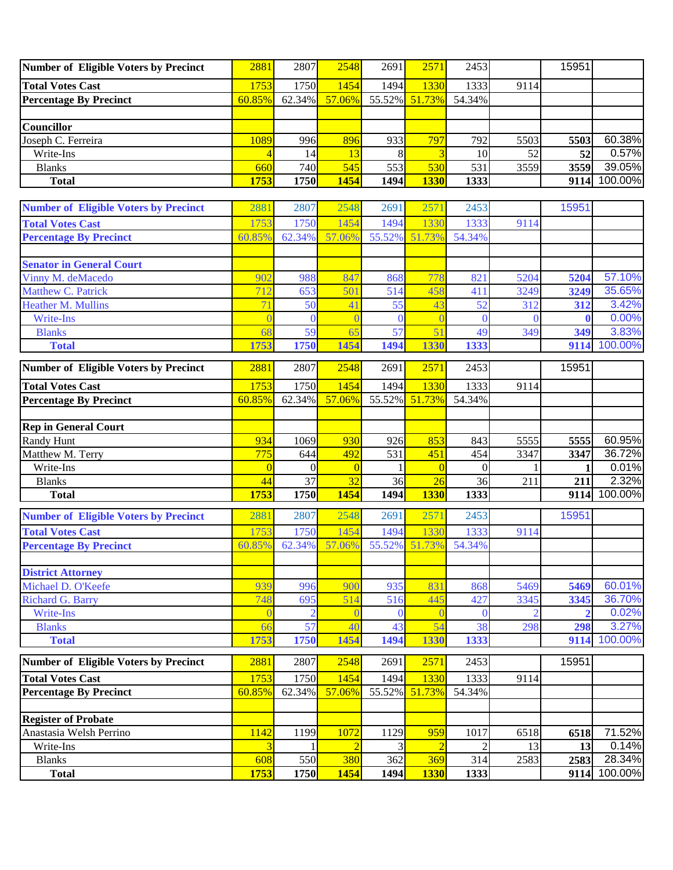| Number of Eligible Voters by Precinct | 2881   | 2807      | 2548   | 2691 | 2571          | 2453   |      | 15951 |         |
|---------------------------------------|--------|-----------|--------|------|---------------|--------|------|-------|---------|
| <b>Total Votes Cast</b>               | 1753   | 1750      | 1454   | 1494 | 1330          | 1333   | 9114 |       |         |
| <b>Percentage By Precinct</b>         | 60.85% | $62.34\%$ | 57.06% |      | 55.52% 51.73% | 54.34% |      |       |         |
|                                       |        |           |        |      |               |        |      |       |         |
| <b>Councillor</b>                     |        |           |        |      |               |        |      |       |         |
| Joseph C. Ferreira                    | 1089   | 996       | 896    | 933  | 797           | 7921   | 5503 | 5503  | 60.38%  |
| Write-Ins                             |        | 14        |        |      |               | 10     | 52   | 52    | 0.57%   |
| <b>Blanks</b>                         | 660    | 740I      | 545    | 553  | 530           | 531    | 3559 | 3559  | 39.05%  |
| <b>Total</b>                          | 1753   | 1750      | 1454   | 1494 | <b>1330</b>   | 1333   |      | 9114  | 100.00% |

| <b>Number of Eligible Voters by Precinct</b> | 2881        | 2807             | 2548           | 2691        | 2571               | 2453           |      | 15951        |                                                                                                  |
|----------------------------------------------|-------------|------------------|----------------|-------------|--------------------|----------------|------|--------------|--------------------------------------------------------------------------------------------------|
| <b>Total Votes Cast</b>                      | 1753        | 1750             | 1454           | 1494        | 1330               | 1333           | 9114 |              |                                                                                                  |
| <b>Percentage By Precinct</b>                | 60.85%      | 62.34%           | 57.06%         | 55.52%      | 51.73%             | 54.34%         |      |              |                                                                                                  |
|                                              |             |                  |                |             |                    |                |      |              |                                                                                                  |
| <b>Senator in General Court</b>              |             |                  |                |             |                    |                |      |              |                                                                                                  |
| Vinny M. deMacedo                            | 902         | 988              | 847            | 868         | 778                | 821            | 5204 | 5204         | 57.10%                                                                                           |
| Matthew C. Patrick                           | 712         | 653              | 501            | 514         | 458                | 411            | 3249 | 3249         | 35.65%                                                                                           |
| Heather M. Mullins                           | 71          | 50               | 41             | 55          | 43                 | 52             | 312  | 312          | 3.42%                                                                                            |
| Write-Ins                                    |             | $\theta$         |                | $\Omega$    | $\overline{0}$     | $\Omega$       |      |              | 0.00%                                                                                            |
| <b>Blanks</b>                                | 68          | 59               | 65             | 57          | 51                 | 49             | 349  | 349          | 3.83%                                                                                            |
| <b>Total</b>                                 | 1753        | 1750             | 1454           | 1494        | 1330               | 1333           |      | 9114         | 100.00%                                                                                          |
| <b>Number of Eligible Voters by Precinct</b> | 2881        | 2807             | 2548           | 2691        | 2571               | 2453           |      | 15951        |                                                                                                  |
| <b>Total Votes Cast</b>                      | 1753        | 1750             | 1454           | 1494        | 1330               | 1333           | 9114 |              |                                                                                                  |
| <b>Percentage By Precinct</b>                | 60.85%      | 62.34%           | 57.06%         | 55.52%      | 51.73%             | 54.34%         |      |              |                                                                                                  |
|                                              |             |                  |                |             |                    |                |      |              |                                                                                                  |
| <b>Rep in General Court</b>                  |             |                  |                |             |                    |                |      |              |                                                                                                  |
| <b>Randy Hunt</b>                            | 934         | 1069             | 930            | 926         | 853                | 843            | 5555 | 5555         | 60.95%                                                                                           |
| Matthew M. Terry                             | 775         | 644              | 492            | 531         | 451                | 454            | 3347 | 3347         | 36.72%                                                                                           |
| Write-Ins                                    | $\Omega$    | $\mathbf{0}$     | $\Omega$       |             | $\overline{0}$     | $\theta$       |      | 1            | 0.01%                                                                                            |
| <b>Blanks</b>                                | 44          | 37               | 32             | 36          | 26                 | 36             | 211  | 211          | 2.32%                                                                                            |
|                                              |             |                  |                |             |                    |                |      |              |                                                                                                  |
| <b>Total</b>                                 | 1753        | 1750             | 1454           | 1494        | <b>1330</b>        | 1333           |      | 9114         |                                                                                                  |
| <b>Number of Eligible Voters by Precinct</b> | 2881        | 2807             | 2548           | 2691        | 2571               | 2453           |      | 15951        |                                                                                                  |
| <b>Total Votes Cast</b>                      | 1753        | 1750             | 1454           | 1494        | 1330               | 1333           | 9114 |              |                                                                                                  |
| <b>Percentage By Precinct</b>                | 60.85%      | 62.34%           | 57.06%         | 55.52%      | 51.73%             | 54.34%         |      |              |                                                                                                  |
|                                              |             |                  |                |             |                    |                |      |              |                                                                                                  |
| <b>District Attorney</b>                     |             |                  |                |             |                    |                |      |              |                                                                                                  |
| Michael D. O'Keefe                           | 939         | 996              | 900            | 935         | 831                | 868            | 5469 | 5469         |                                                                                                  |
| <b>Richard G. Barry</b>                      | 748         | 695              | 514            | 516         | 445                | 427            | 3345 | 3345         |                                                                                                  |
| Write-Ins                                    |             |                  |                | $\Omega$    |                    | C              |      |              |                                                                                                  |
| <b>Blanks</b>                                | 66          | 57               | 40             | 43          | 54                 | 38             | 298  | 298          |                                                                                                  |
| <b>Total</b>                                 | 1753        | 1750             | 1454           | 1494        | 1330               | 1333           |      | 9114         |                                                                                                  |
| Number of Eligible Voters by Precinct        | 2881        | 2807             | 2548           | 2691        | 2571               | 2453           |      | 15951        |                                                                                                  |
| <b>Total Votes Cast</b>                      | 1753        | 1750             | 1454           | 1494        | 1330               | 1333           | 9114 |              |                                                                                                  |
| <b>Percentage By Precinct</b>                |             | $60.85\%$ 62.34% | 57.06%         |             | 55.52% 51.73%      | 54.34%         |      |              |                                                                                                  |
|                                              |             |                  |                |             |                    |                |      |              |                                                                                                  |
| <b>Register of Probate</b>                   |             |                  |                |             |                    |                |      |              |                                                                                                  |
| Anastasia Welsh Perrino                      | 1142        | 1199             | 1072           | 1129        | 959                | 1017           | 6518 | 6518         |                                                                                                  |
| Write-Ins                                    | 3           | 1                | $\overline{2}$ | 3           | $\overline{2}$     | $\overline{c}$ | 13   | 13           |                                                                                                  |
| <b>Blanks</b><br><b>Total</b>                | 608<br>1753 | 550<br>1750      | 380<br>1454    | 362<br>1494 | 369<br><b>1330</b> | 314<br>1333    | 2583 | 2583<br>9114 | 100.00%<br>60.01%<br>36.70%<br>0.02%<br>3.27%<br>100.00%<br>71.52%<br>0.14%<br>28.34%<br>100.00% |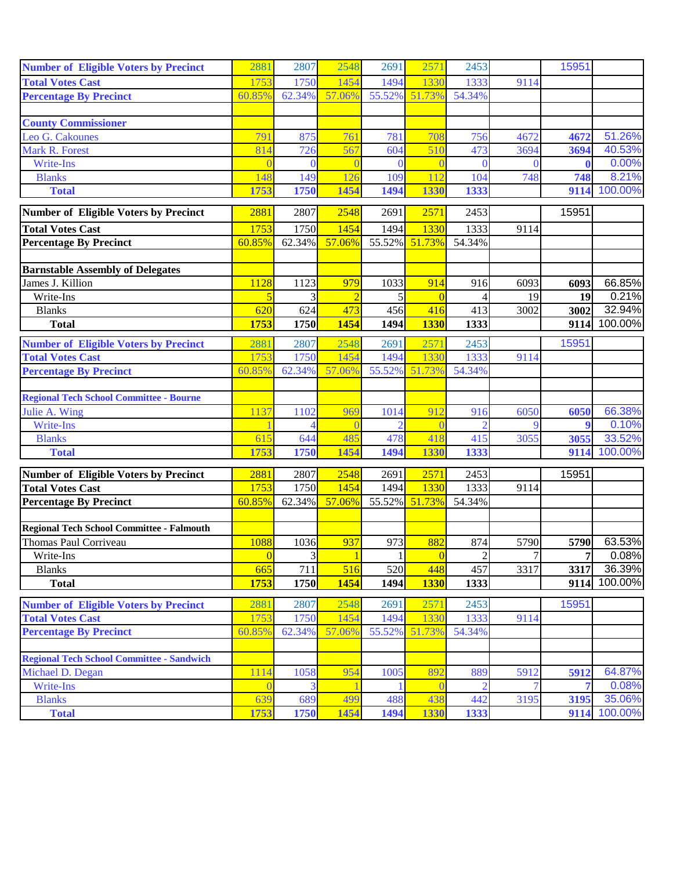| <b>Number of Eligible Voters by Precinct</b>     | 2881            | 2807             | 2548          | 2691           | 2571           | 2453           |          | 15951            |         |
|--------------------------------------------------|-----------------|------------------|---------------|----------------|----------------|----------------|----------|------------------|---------|
| <b>Total Votes Cast</b>                          | 1753            | 1750             | 1454          | 1494           | 1330           | 1333           | 9114     |                  |         |
| <b>Percentage By Precinct</b>                    | 60.85%          | 62.34%           | 57.06%        | 55.52%         | 51.73%         | 54.34%         |          |                  |         |
|                                                  |                 |                  |               |                |                |                |          |                  |         |
| <b>County Commissioner</b>                       |                 |                  |               |                |                |                |          |                  |         |
| Leo G. Cakounes                                  | 791             | 875              | 761           | 781            | 708            | 756            | 4672     | 4672             | 51.26%  |
| Mark R. Forest                                   | 814             | 726              | 567           | 604            | 510            | 473            | 3694     | 3694             | 40.53%  |
| Write-Ins                                        |                 | $\theta$         |               | $\theta$       |                | 0              | $\left($ |                  | 0.00%   |
| <b>Blanks</b>                                    | 148             | 149              | 126           | 109            | 112            | 104            | 748      | 748              | 8.21%   |
| <b>Total</b>                                     | 1753            | 1750             | 1454          | 1494           | 1330           | 1333           |          | 9114             | 100.00% |
| <b>Number of Eligible Voters by Precinct</b>     | 2881            | 2807             | 2548          | 2691           | 2571           | 2453           |          | 15951            |         |
| <b>Total Votes Cast</b>                          | 1753            | 1750             | 1454          | 1494           | 1330           | 1333           | 9114     |                  |         |
| <b>Percentage By Precinct</b>                    | 60.85%          | 62.34%           | 57.06%        | 55.52%         | 51.73%         | 54.34%         |          |                  |         |
|                                                  |                 |                  |               |                |                |                |          |                  |         |
| <b>Barnstable Assembly of Delegates</b>          |                 |                  |               |                |                |                |          |                  |         |
| James J. Killion                                 | 1128            | 1123             | 979           | 1033           | 914            | 916            | 6093     | 6093             | 66.85%  |
| Write-Ins                                        | 5               | 3                | $\mathcal{D}$ | 5              | $\overline{0}$ |                | 19       | 19               | 0.21%   |
| <b>Blanks</b>                                    | 620             | 624              | 473           | 456            | 416            | 413            | 3002     | 3002             | 32.94%  |
| <b>Total</b>                                     | 1753            | 1750             | 1454          | 1494           | <b>1330</b>    | 1333           |          | 9114             | 100.00% |
| <b>Number of Eligible Voters by Precinct</b>     | 2881            | 2807             | 2548          | 2691           | 2571           | 2453           |          | 15951            |         |
| <b>Total Votes Cast</b>                          | 1753            | 1750             | 1454          | 1494           | 1330           | 1333           | 9114     |                  |         |
| <b>Percentage By Precinct</b>                    | 60.85%          | 62.34%           | 57.06%        | 55.52%         | 51.73%         | 54.34%         |          |                  |         |
|                                                  |                 |                  |               |                |                |                |          |                  |         |
| <b>Regional Tech School Committee - Bourne</b>   |                 |                  |               |                |                |                |          |                  |         |
| Julie A. Wing                                    | 1137            | 1102             | 969           | 1014           | 912            | 916            | 6050     | 6050             | 66.38%  |
| Write-Ins                                        |                 |                  |               | $\mathfrak{D}$ |                |                | $\Omega$ | $\boldsymbol{9}$ | 0.10%   |
| <b>Blanks</b>                                    | 615             | 644              | 485           | 478            | 418            | 415            | 3055     | 3055             | 33.52%  |
| <b>Total</b>                                     | 1753            | 1750             | 1454          | 1494           | 1330           | 1333           |          | 9114             | 100.00% |
| <b>Number of Eligible Voters by Precinct</b>     | 2881            | 2807             | 2548          | 2691           | 2571           | 2453           |          | 15951            |         |
| <b>Total Votes Cast</b>                          | 1753            | 1750             | 1454          | 1494           | 1330           | 1333           | 9114     |                  |         |
| <b>Percentage By Precinct</b>                    | 60.85%          | 62.34%           | 57.06%        | 55.52%         | 51.73%         | 54.34%         |          |                  |         |
|                                                  |                 |                  |               |                |                |                |          |                  |         |
| Regional Tech School Committee - Falmouth        |                 |                  |               |                |                |                |          |                  |         |
| Thomas Paul Corriveau                            | 1088            | 1036             | 937           | 973            | 882            | 874            | 5790     | 5790             | 63.53%  |
| Write-Ins                                        | $\vert 0 \vert$ | $\overline{3}$   | $\mathbf{1}$  | $\mathbf{1}$   | $\overline{0}$ | $\overline{c}$ | 7        | 7 <sup>1</sup>   | 0.08%   |
| <b>Blanks</b>                                    | 665             | $\overline{711}$ | 516           | 520            | 448            | 457            | 3317     | 3317             | 36.39%  |
| <b>Total</b>                                     | 1753            | 1750             | 1454          | 1494           | <b>1330</b>    | 1333           |          | 9114             | 100.00% |
|                                                  |                 |                  |               |                |                |                |          |                  |         |
| <b>Number of Eligible Voters by Precinct</b>     | 2881            | 2807             | 2548          | 2691           | 2571           | 2453           |          | 15951            |         |
| <b>Total Votes Cast</b>                          | 1753            | 1750             | 1454          | 1494           | 1330           | 1333           | 9114     |                  |         |
| <b>Percentage By Precinct</b>                    | 60.85%          | 62.34%           | 57.06%        | 55.52%         | 51.73%         | 54.34%         |          |                  |         |
| <b>Regional Tech School Committee - Sandwich</b> |                 |                  |               |                |                |                |          |                  |         |
| Michael D. Degan                                 | 1114            | 1058             | 954           | 1005           | 892            | 889            | 5912     | 5912             | 64.87%  |
| Write-Ins                                        |                 |                  |               |                |                |                |          | 7                | 0.08%   |
| <b>Blanks</b>                                    | 639             | 689              | 499           | 488            | 438            | 442            | 3195     | 3195             | 35.06%  |
| <b>Total</b>                                     | 1753            | 1750             | 1454          | 1494           | 1330           | 1333           |          | 9114             | 100.00% |
|                                                  |                 |                  |               |                |                |                |          |                  |         |